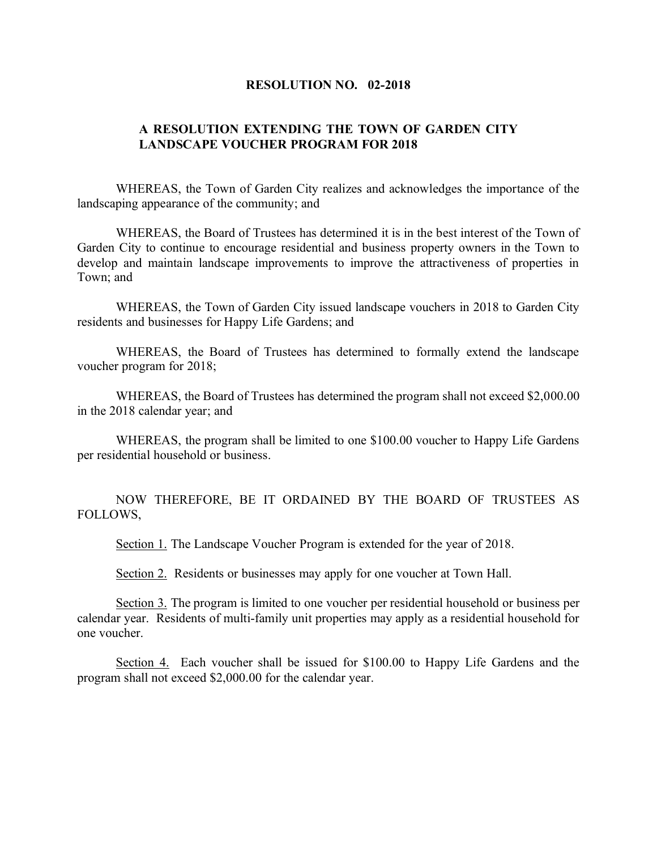## **RESOLUTION NO. 02-2018**

## **A RESOLUTION EXTENDING THE TOWN OF GARDEN CITY LANDSCAPE VOUCHER PROGRAM FOR 2018**

WHEREAS, the Town of Garden City realizes and acknowledges the importance of the landscaping appearance of the community; and

WHEREAS, the Board of Trustees has determined it is in the best interest of the Town of Garden City to continue to encourage residential and business property owners in the Town to develop and maintain landscape improvements to improve the attractiveness of properties in Town; and

WHEREAS, the Town of Garden City issued landscape vouchers in 2018 to Garden City residents and businesses for Happy Life Gardens; and

WHEREAS, the Board of Trustees has determined to formally extend the landscape voucher program for 2018;

WHEREAS, the Board of Trustees has determined the program shall not exceed \$2,000.00 in the 2018 calendar year; and

WHEREAS, the program shall be limited to one \$100.00 voucher to Happy Life Gardens per residential household or business.

NOW THEREFORE, BE IT ORDAINED BY THE BOARD OF TRUSTEES AS FOLLOWS,

Section 1. The Landscape Voucher Program is extended for the year of 2018.

Section 2. Residents or businesses may apply for one voucher at Town Hall.

Section 3. The program is limited to one voucher per residential household or business per calendar year. Residents of multi-family unit properties may apply as a residential household for one voucher.

Section 4. Each voucher shall be issued for \$100.00 to Happy Life Gardens and the program shall not exceed \$2,000.00 for the calendar year.